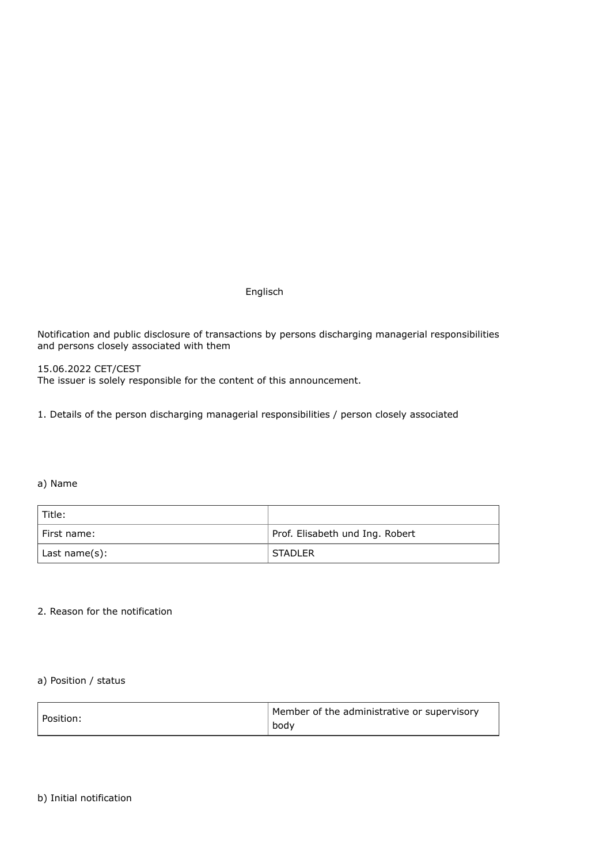Englisch

Notification and public disclosure of transactions by persons discharging managerial responsibilities and persons closely associated with them

15.06.2022 CET/CEST The issuer is solely responsible for the content of this announcement.

1. Details of the person discharging managerial responsibilities / person closely associated

#### a) Name

| Title:        |                                 |
|---------------|---------------------------------|
| I First name: | Prof. Elisabeth und Ing. Robert |
| Last name(s): | <b>STADLER</b>                  |

## 2. Reason for the notification

# a) Position / status

| Position: | Member of the administrative or supervisory |
|-----------|---------------------------------------------|
|           | body                                        |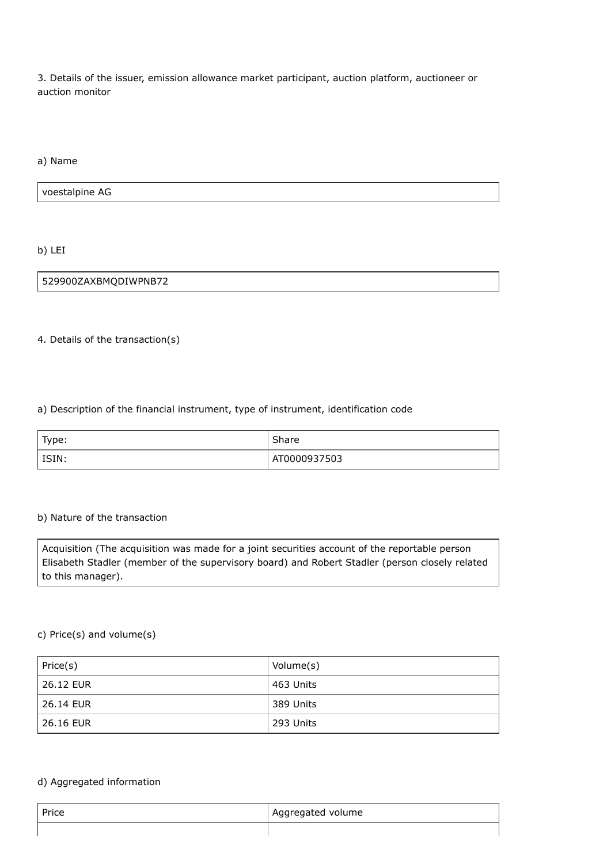3. Details of the issuer, emission allowance market participant, auction platform, auctioneer or auction monitor

a) Name

voestalpine AG

b) LEI

529900ZAXBMQDIWPNB72

4. Details of the transaction(s)

a) Description of the financial instrument, type of instrument, identification code

| Type:   | Share        |
|---------|--------------|
| l ISIN: | AT0000937503 |

## b) Nature of the transaction

Acquisition (The acquisition was made for a joint securities account of the reportable person Elisabeth Stadler (member of the supervisory board) and Robert Stadler (person closely related to this manager).

# c) Price(s) and volume(s)

| Price(s)    | Volume(s) |
|-------------|-----------|
| 26.12 EUR   | 463 Units |
| l 26.14 EUR | 389 Units |
| l 26.16 EUR | 293 Units |

### d) Aggregated information

| Price | Aggregated volume |
|-------|-------------------|
|       |                   |